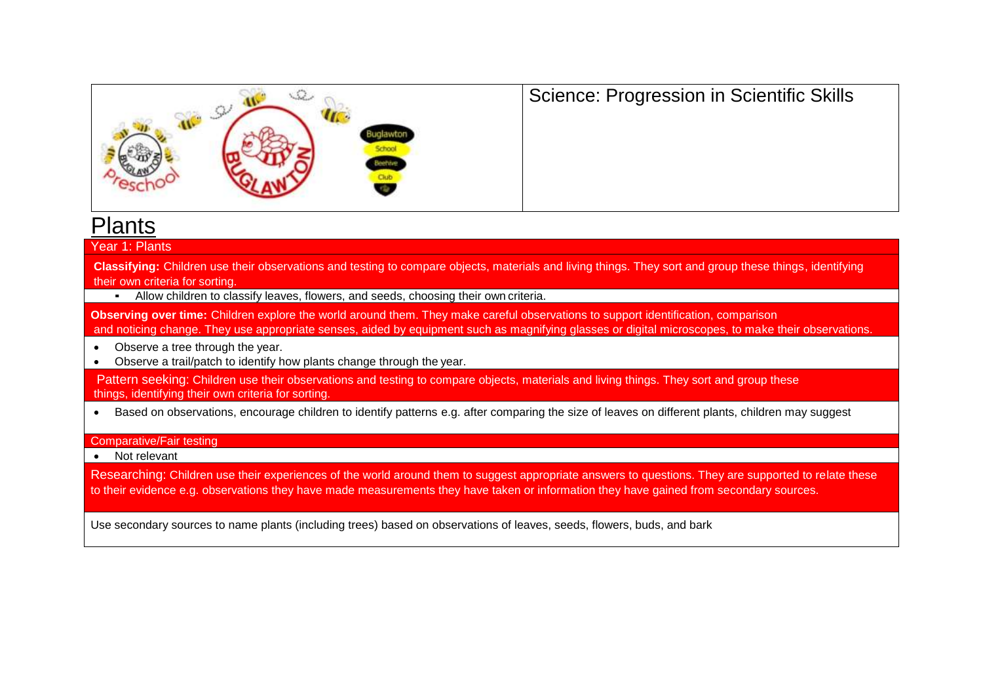

# Science: Progression in Scientific Skills

# Plants

#### Year 1: Plants

**Classifying:** Children use their observations and testing to compare objects, materials and living things. They sort and group these things, identifying their own criteria for sorting.

▪ Allow children to classify leaves, flowers, and seeds, choosing their own criteria.

**Observing over time:** Children explore the world around them. They make careful observations to support identification, comparison and noticing change. They use appropriate senses, aided by equipment such as magnifying glasses or digital microscopes, to make their observations.

- Observe a tree through the year.
- Observe a trail/patch to identify how plants change through the year.

Pattern seeking: Children use their observations and testing to compare objects, materials and living things. They sort and group these things, identifying their own criteria for sorting.

• Based on observations, encourage children to identify patterns e.g. after comparing the size of leaves on different plants, children may suggest

#### Comparative/Fair testing

• Not relevant

Researching: Children use their experiences of the world around them to suggest appropriate answers to questions. They are supported to relate these to their evidence e.g. observations they have made measurements they have taken or information they have gained from secondary sources.

Use secondary sources to name plants (including trees) based on observations of leaves, seeds, flowers, buds, and bark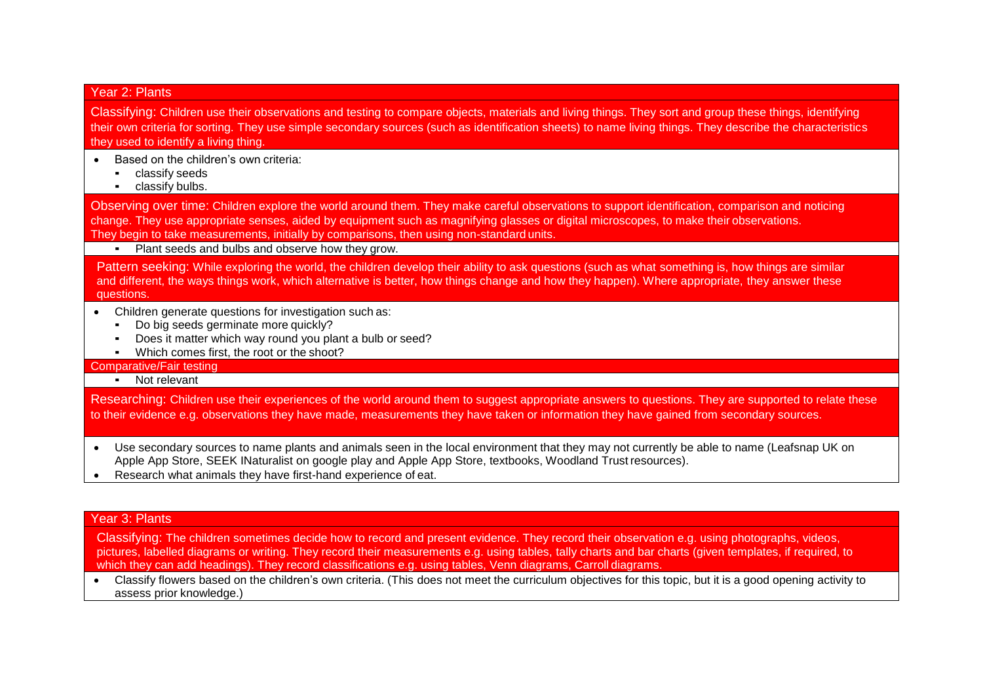### Year 2: Plants

Classifying: Children use their observations and testing to compare objects, materials and living things. They sort and group these things, identifying their own criteria for sorting. They use simple secondary sources (such as identification sheets) to name living things. They describe the characteristics they used to identify a living thing.

- Based on the children's own criteria:
	- classify seeds
	- **•** classify bulbs.

Observing over time: Children explore the world around them. They make careful observations to support identification, comparison and noticing change. They use appropriate senses, aided by equipment such as magnifying glasses or digital microscopes, to make their observations. They begin to take measurements, initially by comparisons, then using non-standard units.

▪ Plant seeds and bulbs and observe how they grow.

Pattern seeking: While exploring the world, the children develop their ability to ask questions (such as what something is, how things are similar and different, the ways things work, which alternative is better, how things change and how they happen). Where appropriate, they answer these questions.

- Children generate questions for investigation such as:
	- Do big seeds germinate more quickly?
	- Does it matter which way round you plant a bulb or seed?
	- Which comes first, the root or the shoot?

#### Comparative/Fair testing

▪ Not relevant

Researching: Children use their experiences of the world around them to suggest appropriate answers to questions. They are supported to relate these to their evidence e.g. observations they have made, measurements they have taken or information they have gained from secondary sources.

- Use secondary sources to name plants and animals seen in the local environment that they may not currently be able to name (Leafsnap UK on Apple App Store, SEEK INaturalist on google play and Apple App Store, textbooks, Woodland Trust resources).
- Research what animals they have first-hand experience of eat.

### Year 3: Plants

Classifying: The children sometimes decide how to record and present evidence. They record their observation e.g. using photographs, videos, pictures, labelled diagrams or writing. They record their measurements e.g. using tables, tally charts and bar charts (given templates, if required, to which they can add headings). They record classifications e.g. using tables, Venn diagrams, Carroll diagrams.

• Classify flowers based on the children's own criteria. (This does not meet the curriculum objectives for this topic, but it is a good opening activity to assess prior knowledge.)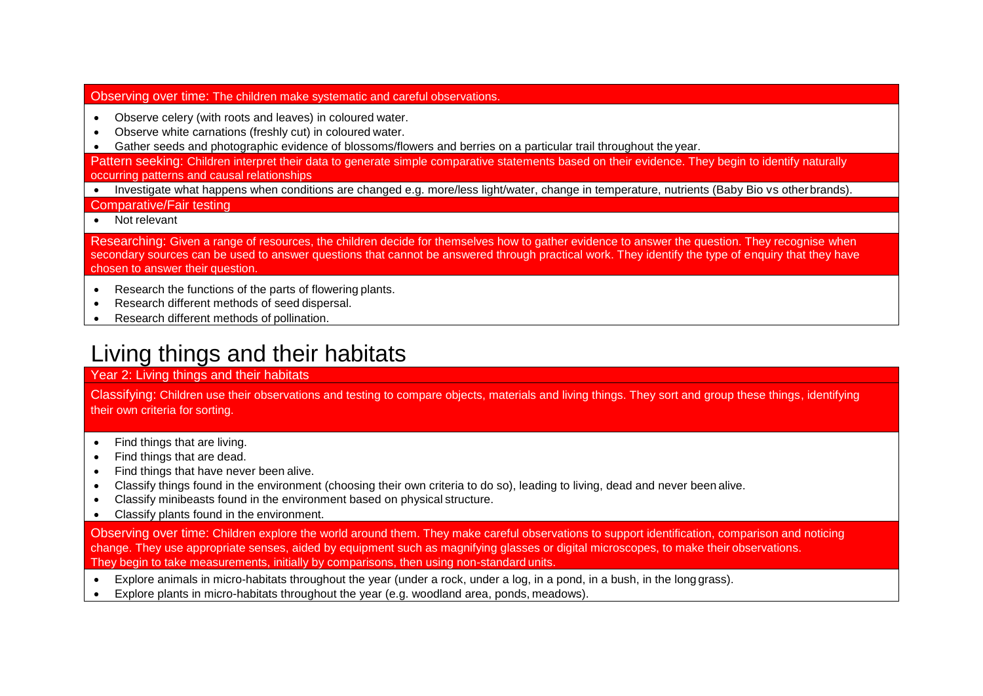### Observing over time: The children make systematic and careful observations.

- Observe celery (with roots and leaves) in coloured water.
- Observe white carnations (freshly cut) in coloured water.
- Gather seeds and photographic evidence of blossoms/flowers and berries on a particular trail throughout the year.

Pattern seeking: Children interpret their data to generate simple comparative statements based on their evidence. They begin to identify naturally occurring patterns and causal relationships

• Investigate what happens when conditions are changed e.g. more/less light/water, change in temperature, nutrients (Baby Bio vs other brands).

Comparative/Fair testing

• Not relevant

Researching: Given a range of resources, the children decide for themselves how to gather evidence to answer the question. They recognise when secondary sources can be used to answer questions that cannot be answered through practical work. They identify the type of enquiry that they have chosen to answer their question.

- Research the functions of the parts of flowering plants.
- Research different methods of seed dispersal.
- Research different methods of pollination.

# Living things and their habitats

### Year 2: Living things and their habitats

Classifying: Children use their observations and testing to compare objects, materials and living things. They sort and group these things, identifying their own criteria for sorting.

- Find things that are living.
- Find things that are dead.
- Find things that have never been alive.
- Classify things found in the environment (choosing their own criteria to do so), leading to living, dead and never been alive.
- Classify minibeasts found in the environment based on physical structure.
- Classify plants found in the environment.

Observing over time: Children explore the world around them. They make careful observations to support identification, comparison and noticing change. They use appropriate senses, aided by equipment such as magnifying glasses or digital microscopes, to make their observations. They begin to take measurements, initially by comparisons, then using non-standard units.

- Explore animals in micro-habitats throughout the year (under a rock, under a log, in a pond, in a bush, in the longgrass).
- Explore plants in micro-habitats throughout the year (e.g. woodland area, ponds, meadows).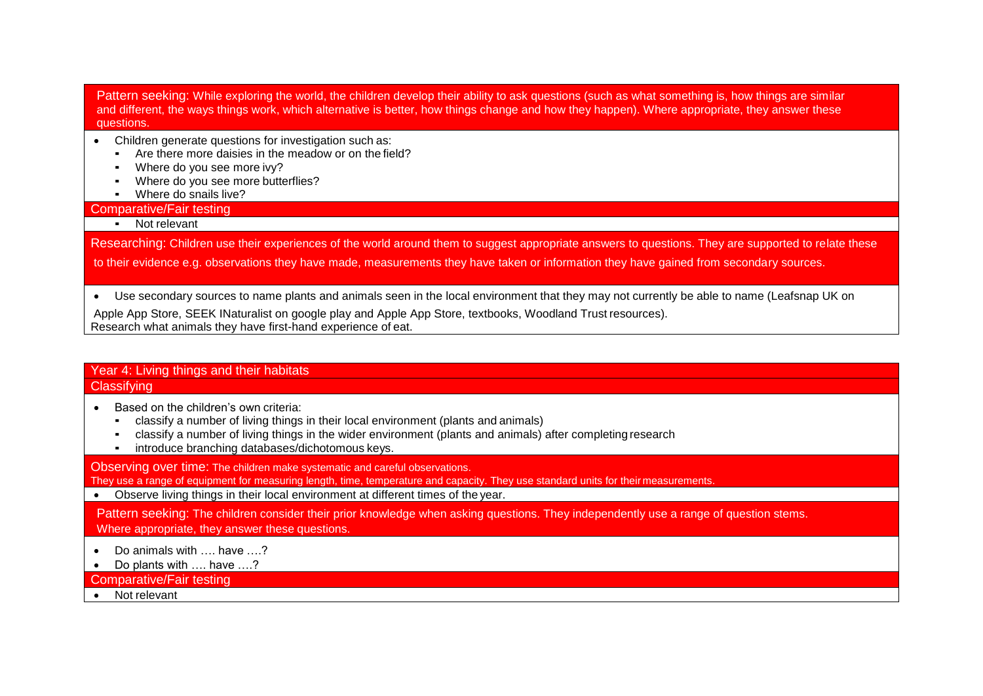Pattern seeking: While exploring the world, the children develop their ability to ask questions (such as what something is, how things are similar and different, the ways things work, which alternative is better, how things change and how they happen). Where appropriate, they answer these questions.

- Children generate questions for investigation such as:
	- Are there more daisies in the meadow or on the field?
	- Where do you see more ivy?
	- Where do you see more butterflies?
	- Where do snails live?

Comparative/Fair testing

▪ Not relevant

Researching: Children use their experiences of the world around them to suggest appropriate answers to questions. They are supported to relate these to their evidence e.g. observations they have made, measurements they have taken or information they have gained from secondary sources.

• Use secondary sources to name plants and animals seen in the local environment that they may not currently be able to name (Leafsnap UK on

Apple App Store, SEEK INaturalist on google play and Apple App Store, textbooks, Woodland Trust resources). Research what animals they have first-hand experience of eat.

### Year 4: Living things and their habitats **Classifying**

- Based on the children's own criteria:
	- classify a number of living things in their local environment (plants and animals)
	- classify a number of living things in the wider environment (plants and animals) after completing research
	- introduce branching databases/dichotomous keys.

Observing over time: The children make systematic and careful observations.

They use a range of equipment for measuring length, time, temperature and capacity. They use standard units for their measurements.

• Observe living things in their local environment at different times of the year.

Pattern seeking: The children consider their prior knowledge when asking questions. They independently use a range of question stems. Where appropriate, they answer these questions.

- Do animals with …. have ….?
- Do plants with …. have ….?

Comparative/Fair testing

• Not relevant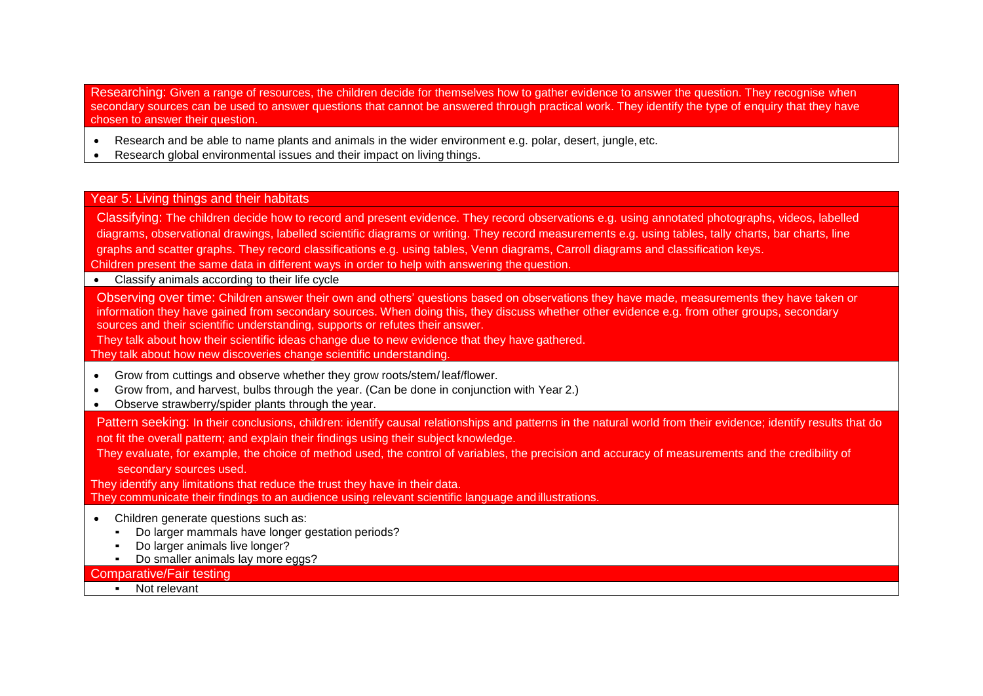Researching: Given a range of resources, the children decide for themselves how to gather evidence to answer the question. They recognise when secondary sources can be used to answer questions that cannot be answered through practical work. They identify the type of enquiry that they have chosen to answer their question.

- Research and be able to name plants and animals in the wider environment e.g. polar, desert, jungle, etc.
- Research global environmental issues and their impact on living things.

#### Year 5: Living things and their habitats

Classifying: The children decide how to record and present evidence. They record observations e.g. using annotated photographs, videos, labelled diagrams, observational drawings, labelled scientific diagrams or writing. They record measurements e.g. using tables, tally charts, bar charts, line graphs and scatter graphs. They record classifications e.g. using tables, Venn diagrams, Carroll diagrams and classification keys. Children present the same data in different ways in order to help with answering the question. • Classify animals according to their life cycle Observing over time: Children answer their own and others' questions based on observations they have made, measurements they have taken or information they have gained from secondary sources. When doing this, they discuss whether other evidence e.g. from other groups, secondary sources and their scientific understanding, supports or refutes their answer. They talk about how their scientific ideas change due to new evidence that they have gathered. They talk about how new discoveries change scientific understanding. • Grow from cuttings and observe whether they grow roots/stem/ leaf/flower. • Grow from, and harvest, bulbs through the year. (Can be done in conjunction with Year 2.) • Observe strawberry/spider plants through the year. Pattern seeking: In their conclusions, children: identify causal relationships and patterns in the natural world from their evidence; identify results that do not fit the overall pattern; and explain their findings using their subject knowledge. They evaluate, for example, the choice of method used, the control of variables, the precision and accuracy of measurements and the credibility of secondary sources used. They identify any limitations that reduce the trust they have in their data. They communicate their findings to an audience using relevant scientific language andillustrations. • Children generate questions such as: Do larger mammals have longer gestation periods? • Do larger animals live longer? ▪ Do smaller animals lay more eggs? Comparative/Fair testing

▪ Not relevant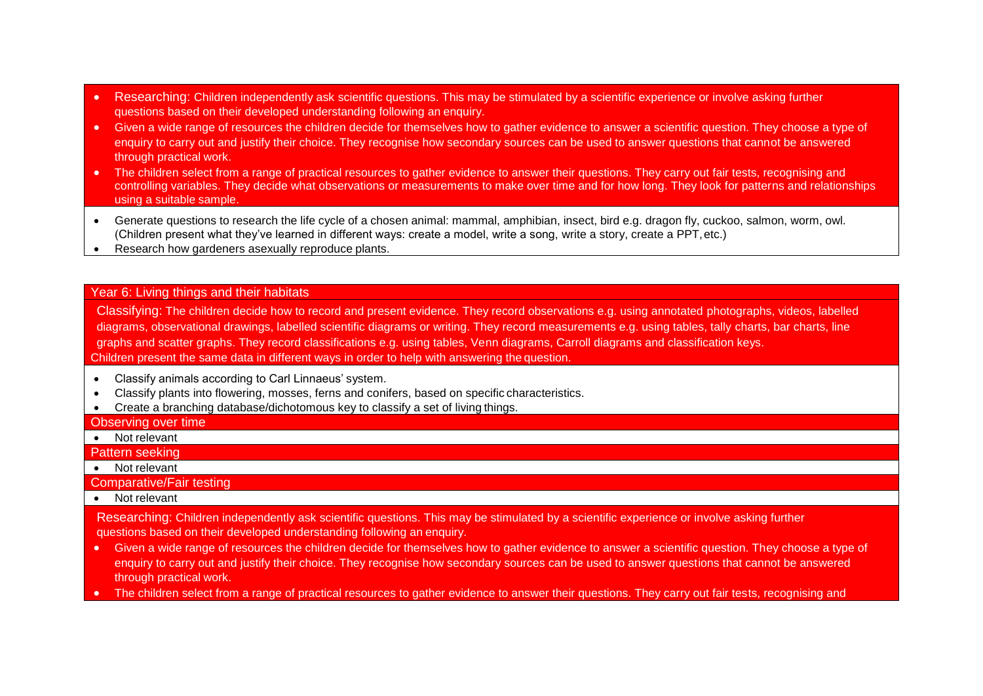- Researching: Children independently ask scientific questions. This may be stimulated by a scientific experience or involve asking further questions based on their developed understanding following an enquiry.
- Given a wide range of resources the children decide for themselves how to gather evidence to answer a scientific question. They choose a type of enquiry to carry out and justify their choice. They recognise how secondary sources can be used to answer questions that cannot be answered through practical work.
- The children select from a range of practical resources to gather evidence to answer their questions. They carry out fair tests, recognising and controlling variables. They decide what observations or measurements to make over time and for how long. They look for patterns and relationships using a suitable sample.
- Generate questions to research the life cycle of a chosen animal: mammal, amphibian, insect, bird e.g. dragon fly, cuckoo, salmon, worm, owl. (Children present what they've learned in different ways: create a model, write a song, write a story, create a PPT,etc.)
- Research how gardeners asexually reproduce plants.

#### Year 6: Living things and their habitats

Classifying: The children decide how to record and present evidence. They record observations e.g. using annotated photographs, videos, labelled diagrams, observational drawings, labelled scientific diagrams or writing. They record measurements e.g. using tables, tally charts, bar charts, line graphs and scatter graphs. They record classifications e.g. using tables, Venn diagrams, Carroll diagrams and classification keys. Children present the same data in different ways in order to help with answering the question.

- Classify animals according to Carl Linnaeus' system.
- Classify plants into flowering, mosses, ferns and conifers, based on specific characteristics.
- Create a branching database/dichotomous key to classify a set of living things.

#### Observing over time

- Not relevant
- Pattern seeking
- Not relevant

Comparative/Fair testing

• Not relevant

Researching: Children independently ask scientific questions. This may be stimulated by a scientific experience or involve asking further questions based on their developed understanding following an enquiry.

- Given a wide range of resources the children decide for themselves how to gather evidence to answer a scientific question. They choose a type of enquiry to carry out and justify their choice. They recognise how secondary sources can be used to answer questions that cannot be answered through practical work.
- The children select from a range of practical resources to gather evidence to answer their questions. They carry out fair tests, recognising and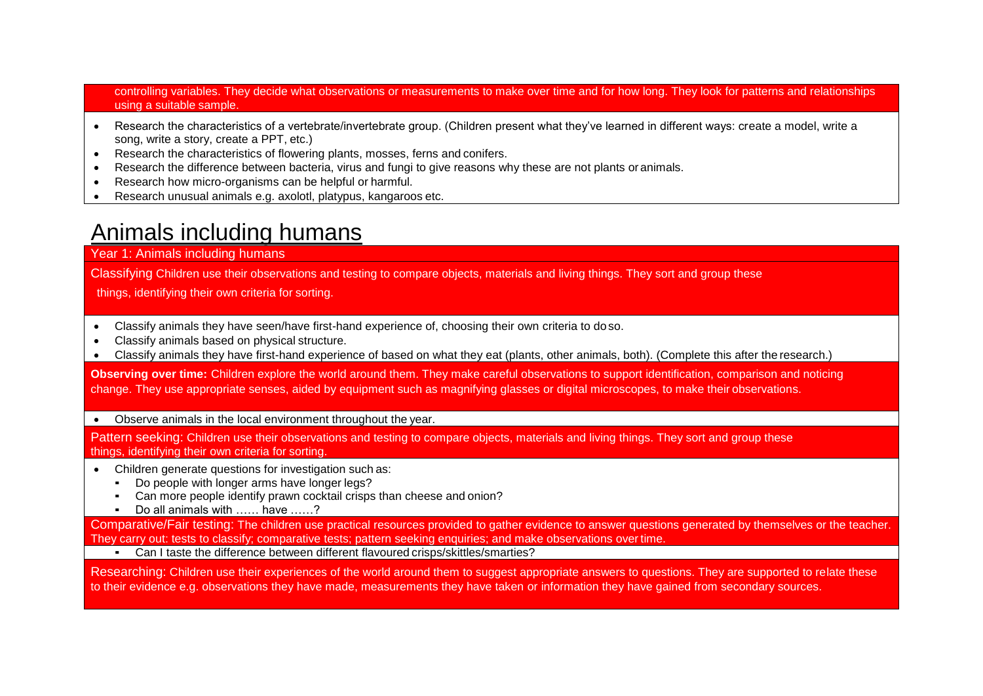controlling variables. They decide what observations or measurements to make over time and for how long. They look for patterns and relationships using a suitable sample.

- Research the characteristics of a vertebrate/invertebrate group. (Children present what they've learned in different ways: create a model, write a song, write a story, create a PPT, etc.)
- Research the characteristics of flowering plants, mosses, ferns and conifers.
- Research the difference between bacteria, virus and fungi to give reasons why these are not plants or animals.
- Research how micro-organisms can be helpful or harmful.
- Research unusual animals e.g. axolotl, platypus, kangaroos etc.

# Animals including humans

### Year 1: Animals including humans

Classifying Children use their observations and testing to compare objects, materials and living things. They sort and group these

things, identifying their own criteria for sorting.

- Classify animals they have seen/have first-hand experience of, choosing their own criteria to doso.
- Classify animals based on physical structure.
- Classify animals they have first-hand experience of based on what they eat (plants, other animals, both). (Complete this after the research.)

**Observing over time:** Children explore the world around them. They make careful observations to support identification, comparison and noticing change. They use appropriate senses, aided by equipment such as magnifying glasses or digital microscopes, to make their observations.

#### • Observe animals in the local environment throughout the year.

Pattern seeking: Children use their observations and testing to compare objects, materials and living things. They sort and group these things, identifying their own criteria for sorting.

- Children generate questions for investigation such as:
	- **•** Do people with longer arms have longer legs?
	- Can more people identify prawn cocktail crisps than cheese and onion?
	- Do all animals with …… have ……?

Comparative/Fair testing: The children use practical resources provided to gather evidence to answer questions generated by themselves or the teacher. They carry out: tests to classify; comparative tests; pattern seeking enquiries; and make observations over time.

▪ Can I taste the difference between different flavoured crisps/skittles/smarties?

Researching: Children use their experiences of the world around them to suggest appropriate answers to questions. They are supported to relate these to their evidence e.g. observations they have made, measurements they have taken or information they have gained from secondary sources.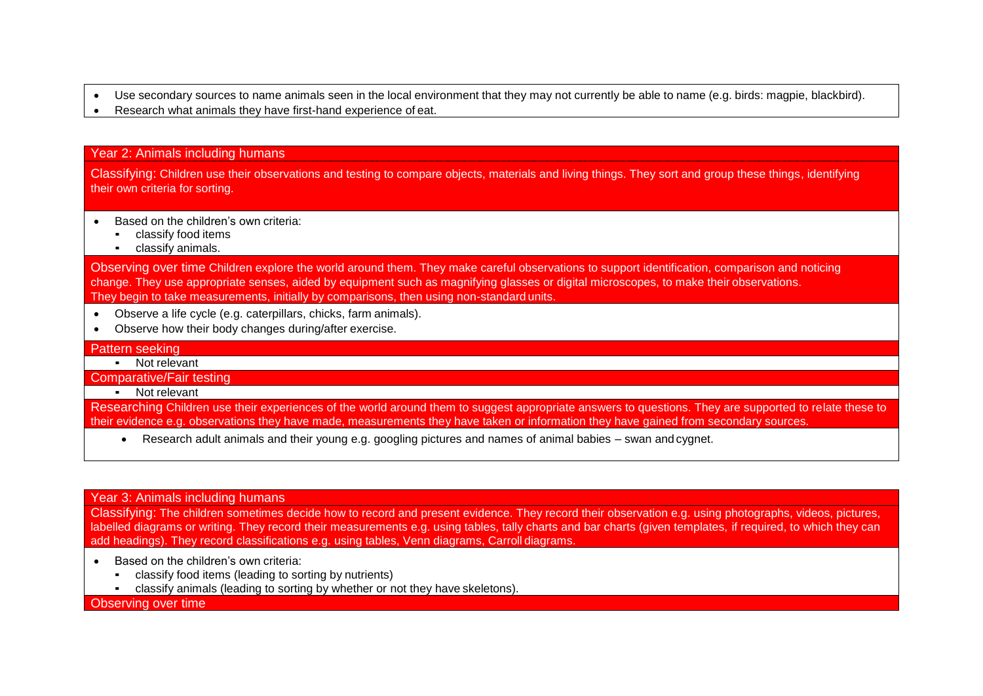- Use secondary sources to name animals seen in the local environment that they may not currently be able to name (e.g. birds: magpie, blackbird).
- Research what animals they have first-hand experience of eat.

#### Year 2: Animals including humans

Classifying: Children use their observations and testing to compare objects, materials and living things. They sort and group these things, identifying their own criteria for sorting.

- Based on the children's own criteria:
	- classify food items
	- classify animals.

Observing over time Children explore the world around them. They make careful observations to support identification, comparison and noticing change. They use appropriate senses, aided by equipment such as magnifying glasses or digital microscopes, to make their observations. They begin to take measurements, initially by comparisons, then using non-standard units.

- Observe a life cycle (e.g. caterpillars, chicks, farm animals).
- Observe how their body changes during/after exercise.

#### Pattern seeking

▪ Not relevant

Comparative/Fair testing

▪ Not relevant

Researching Children use their experiences of the world around them to suggest appropriate answers to questions. They are supported to relate these to their evidence e.g. observations they have made, measurements they have taken or information they have gained from secondary sources.

• Research adult animals and their young e.g. googling pictures and names of animal babies – swan and cygnet.

#### Year 3: Animals including humans

Classifying: The children sometimes decide how to record and present evidence. They record their observation e.g. using photographs, videos, pictures, labelled diagrams or writing. They record their measurements e.g. using tables, tally charts and bar charts (given templates, if required, to which they can add headings). They record classifications e.g. using tables, Venn diagrams, Carroll diagrams.

- Based on the children's own criteria:
	- classify food items (leading to sorting by nutrients)
	- classify animals (leading to sorting by whether or not they have skeletons).

Observing over time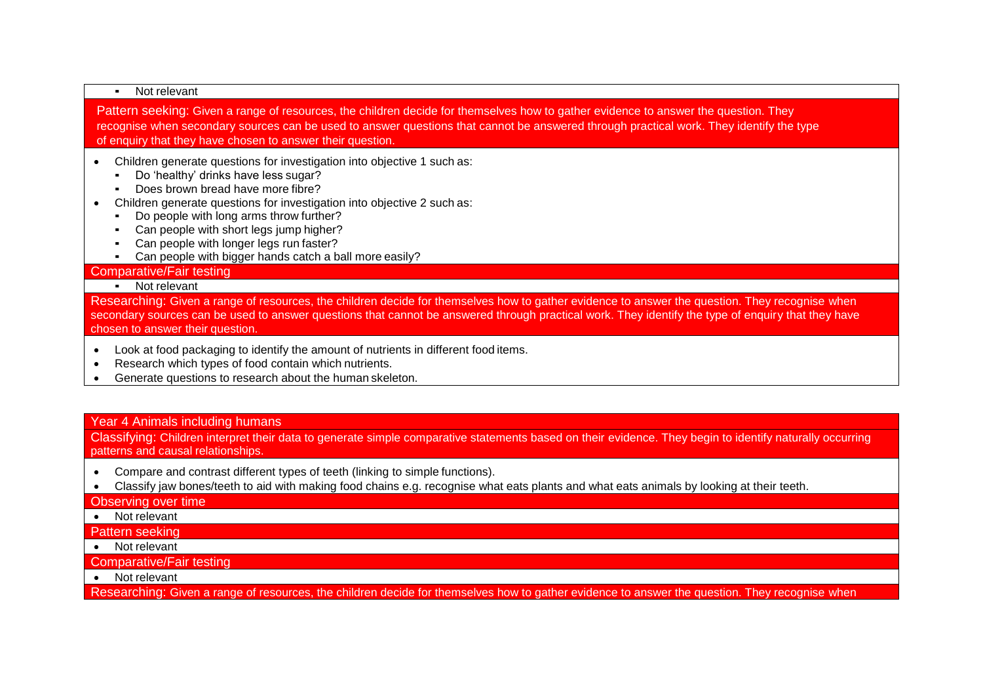#### ▪ Not relevant

Pattern seeking: Given a range of resources, the children decide for themselves how to gather evidence to answer the question. They recognise when secondary sources can be used to answer questions that cannot be answered through practical work. They identify the type of enquiry that they have chosen to answer their question.

- Children generate questions for investigation into objective 1 such as:
	- Do 'healthy' drinks have less sugar?
	- Does brown bread have more fibre?
- Children generate questions for investigation into objective 2 such as:
	- Do people with long arms throw further?
	- Can people with short legs jump higher?
	- Can people with longer legs run faster?
	- Can people with bigger hands catch a ball more easily?

#### Comparative/Fair testing

▪ Not relevant

Researching: Given a range of resources, the children decide for themselves how to gather evidence to answer the question. They recognise when secondary sources can be used to answer questions that cannot be answered through practical work. They identify the type of enquiry that they have chosen to answer their question.

- Look at food packaging to identify the amount of nutrients in different food items.
- Research which types of food contain which nutrients.
- Generate questions to research about the human skeleton.

### Year 4 Animals including humans

Classifying: Children interpret their data to generate simple comparative statements based on their evidence. They begin to identify naturally occurring patterns and causal relationships.

- Compare and contrast different types of teeth (linking to simple functions).
- Classify jaw bones/teeth to aid with making food chains e.g. recognise what eats plants and what eats animals by looking at their teeth.

#### Observing over time

• Not relevant

#### Pattern seeking

• Not relevant

#### Comparative/Fair testing

• Not relevant

Researching: Given a range of resources, the children decide for themselves how to gather evidence to answer the question. They recognise when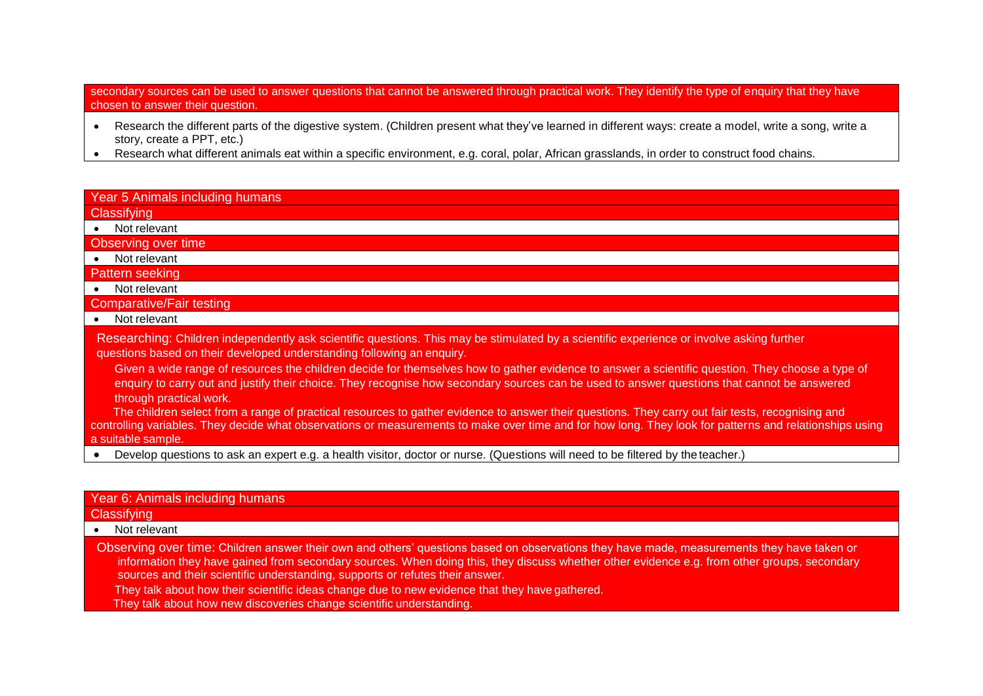secondary sources can be used to answer questions that cannot be answered through practical work. They identify the type of enquiry that they have chosen to answer their question.

- Research the different parts of the digestive system. (Children present what they've learned in different ways: create a model, write a song, write a story, create a PPT, etc.)
- Research what different animals eat within a specific environment, e.g. coral, polar, African grasslands, in order to construct food chains.

## Year 5 Animals including humans

**Classifying** 

• Not relevant

Observing over time

• Not relevant

Pattern seeking

• Not relevant

Comparative/Fair testing

• Not relevant

Researching: Children independently ask scientific questions. This may be stimulated by a scientific experience or involve asking further questions based on their developed understanding following an enquiry.

Given a wide range of resources the children decide for themselves how to gather evidence to answer a scientific question. They choose a type of enquiry to carry out and justify their choice. They recognise how secondary sources can be used to answer questions that cannot be answered through practical work.

 The children select from a range of practical resources to gather evidence to answer their questions. They carry out fair tests, recognising and controlling variables. They decide what observations or measurements to make over time and for how long. They look for patterns and relationships using a suitable sample.

• Develop questions to ask an expert e.g. a health visitor, doctor or nurse. (Questions will need to be filtered by theteacher.)

### Year 6: Animals including humans

#### **Classifving**

• Not relevant

Observing over time: Children answer their own and others' questions based on observations they have made, measurements they have taken or information they have gained from secondary sources. When doing this, they discuss whether other evidence e.g. from other groups, secondary sources and their scientific understanding, supports or refutes their answer.

They talk about how their scientific ideas change due to new evidence that they have gathered.

They talk about how new discoveries change scientific understanding.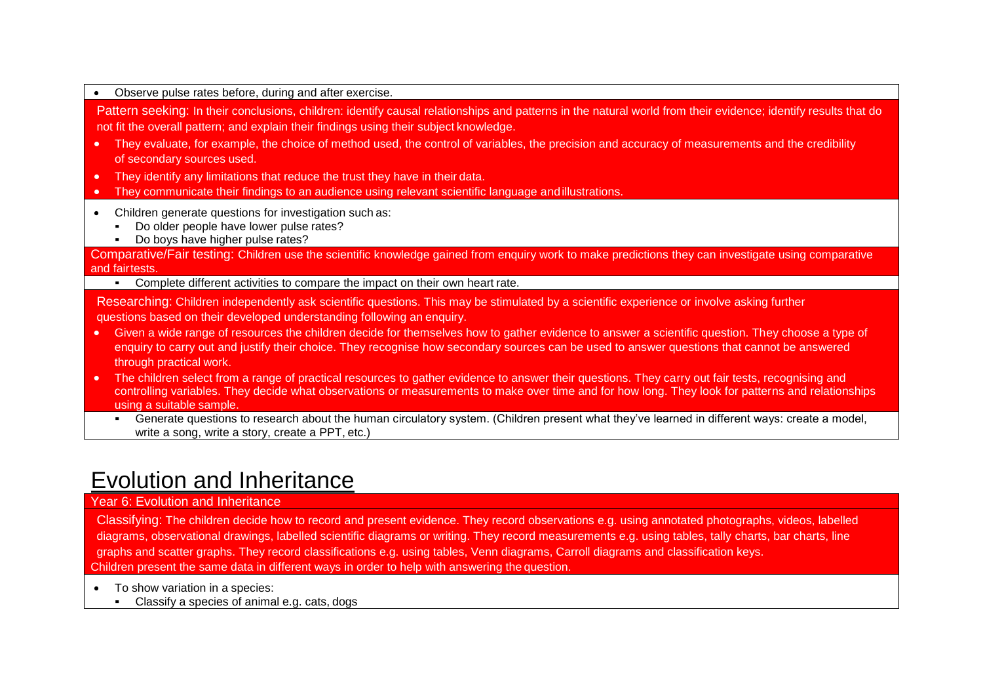| Observe pulse rates before, during and after exercise.                                                                                                                                                                                                                                                                                         |  |
|------------------------------------------------------------------------------------------------------------------------------------------------------------------------------------------------------------------------------------------------------------------------------------------------------------------------------------------------|--|
| Pattern seeking: In their conclusions, children: identify causal relationships and patterns in the natural world from their evidence; identify results that do<br>not fit the overall pattern; and explain their findings using their subject knowledge.                                                                                       |  |
| They evaluate, for example, the choice of method used, the control of variables, the precision and accuracy of measurements and the credibility<br>$\bullet$<br>of secondary sources used.                                                                                                                                                     |  |
| They identify any limitations that reduce the trust they have in their data.<br>$\bullet$                                                                                                                                                                                                                                                      |  |
| They communicate their findings to an audience using relevant scientific language and illustrations.                                                                                                                                                                                                                                           |  |
| Children generate questions for investigation such as:<br>Do older people have lower pulse rates?<br>Do boys have higher pulse rates?                                                                                                                                                                                                          |  |
| Comparative/Fair testing: Children use the scientific knowledge gained from enquiry work to make predictions they can investigate using comparative<br>and fairtests.                                                                                                                                                                          |  |
| Complete different activities to compare the impact on their own heart rate.                                                                                                                                                                                                                                                                   |  |
| Researching: Children independently ask scientific questions. This may be stimulated by a scientific experience or involve asking further<br>questions based on their developed understanding following an enquiry.                                                                                                                            |  |
| Given a wide range of resources the children decide for themselves how to gather evidence to answer a scientific question. They choose a type of<br>$\bullet$<br>enquiry to carry out and justify their choice. They recognise how secondary sources can be used to answer questions that cannot be answered<br>through practical work.        |  |
| The children select from a range of practical resources to gather evidence to answer their questions. They carry out fair tests, recognising and<br>$\bullet$<br>controlling variables. They decide what observations or measurements to make over time and for how long. They look for patterns and relationships<br>using a suitable sample. |  |
| Generate questions to research about the human circulatory system. (Children present what they've learned in different ways: create a model,<br>write a song, write a story, create a PPT, etc.)                                                                                                                                               |  |

# Evolution and Inheritance

### Year 6: Evolution and Inheritance

Classifying: The children decide how to record and present evidence. They record observations e.g. using annotated photographs, videos, labelled diagrams, observational drawings, labelled scientific diagrams or writing. They record measurements e.g. using tables, tally charts, bar charts, line graphs and scatter graphs. They record classifications e.g. using tables, Venn diagrams, Carroll diagrams and classification keys. Children present the same data in different ways in order to help with answering the question.

- To show variation in a species:
	- Classify a species of animal e.g. cats, dogs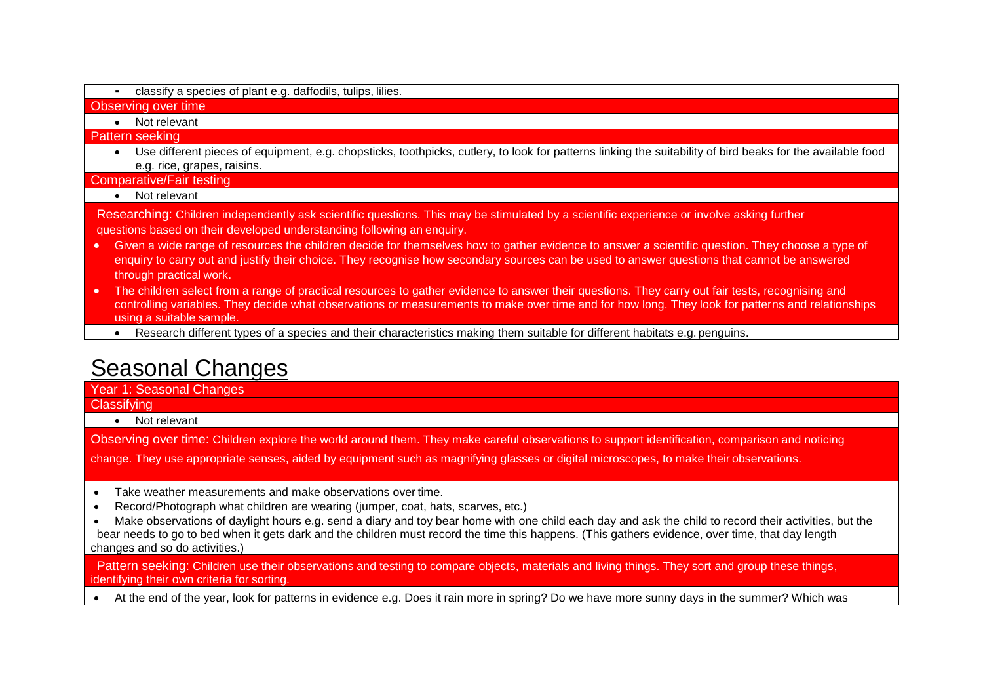▪ classify a species of plant e.g. daffodils, tulips, lilies.

#### Observing over time

• Not relevant

Pattern seeking

• Use different pieces of equipment, e.g. chopsticks, toothpicks, cutlery, to look for patterns linking the suitability of bird beaks for the available food e.g. rice, grapes, raisins.

Comparative/Fair testing

#### • Not relevant

Researching: Children independently ask scientific questions. This may be stimulated by a scientific experience or involve asking further questions based on their developed understanding following an enquiry.

- Given a wide range of resources the children decide for themselves how to gather evidence to answer a scientific question. They choose a type of enquiry to carry out and justify their choice. They recognise how secondary sources can be used to answer questions that cannot be answered through practical work.
- The children select from a range of practical resources to gather evidence to answer their questions. They carry out fair tests, recognising and controlling variables. They decide what observations or measurements to make over time and for how long. They look for patterns and relationships using a suitable sample.
	- Research different types of a species and their characteristics making them suitable for different habitats e.g. penguins.

# Seasonal Changes

Year 1: Seasonal Changes **Classifying** 

• Not relevant

Observing over time: Children explore the world around them. They make careful observations to support identification, comparison and noticing

change. They use appropriate senses, aided by equipment such as magnifying glasses or digital microscopes, to make their observations.

- Take weather measurements and make observations over time.
- Record/Photograph what children are wearing (jumper, coat, hats, scarves, etc.)
- Make observations of daylight hours e.g. send a diary and toy bear home with one child each day and ask the child to record their activities, but the bear needs to go to bed when it gets dark and the children must record the time this happens. (This gathers evidence, over time, that day length changes and so do activities.)

Pattern seeking: Children use their observations and testing to compare objects, materials and living things. They sort and group these things, identifying their own criteria for sorting.

• At the end of the year, look for patterns in evidence e.g. Does it rain more in spring? Do we have more sunny days in the summer? Which was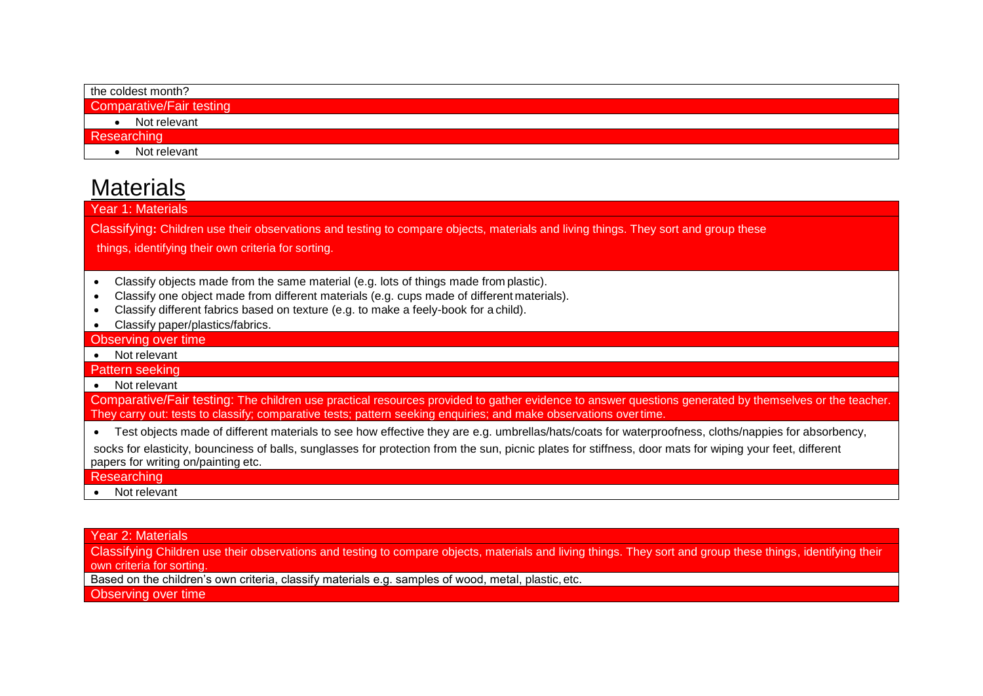| the coldest month?       |
|--------------------------|
| Comparative/Fair testing |
| Not relevant             |
| Researching              |
| Not relevant             |
|                          |

# **Materials**

Year 1: Materials

Classifying**:** Children use their observations and testing to compare objects, materials and living things. They sort and group these

things, identifying their own criteria for sorting.

- Classify objects made from the same material (e.g. lots of things made from plastic).
- Classify one object made from different materials (e.g. cups made of different materials).
- Classify different fabrics based on texture (e.g. to make a feely-book for a child).
- Classify paper/plastics/fabrics.

Observing over time

• Not relevant

Pattern seeking

• Not relevant

Comparative/Fair testing: The children use practical resources provided to gather evidence to answer questions generated by themselves or the teacher. They carry out: tests to classify; comparative tests; pattern seeking enquiries; and make observations overtime.

• Test objects made of different materials to see how effective they are e.g. umbrellas/hats/coats for waterproofness, cloths/nappies for absorbency,

socks for elasticity, bounciness of balls, sunglasses for protection from the sun, picnic plates for stiffness, door mats for wiping your feet, different papers for writing on/painting etc.

### **Researching**

• Not relevant

Year 2: Materials

Classifying Children use their observations and testing to compare objects, materials and living things. They sort and group these things, identifying their own criteria for sorting.

Based on the children's own criteria, classify materials e.g. samples of wood, metal, plastic, etc.

Observing over time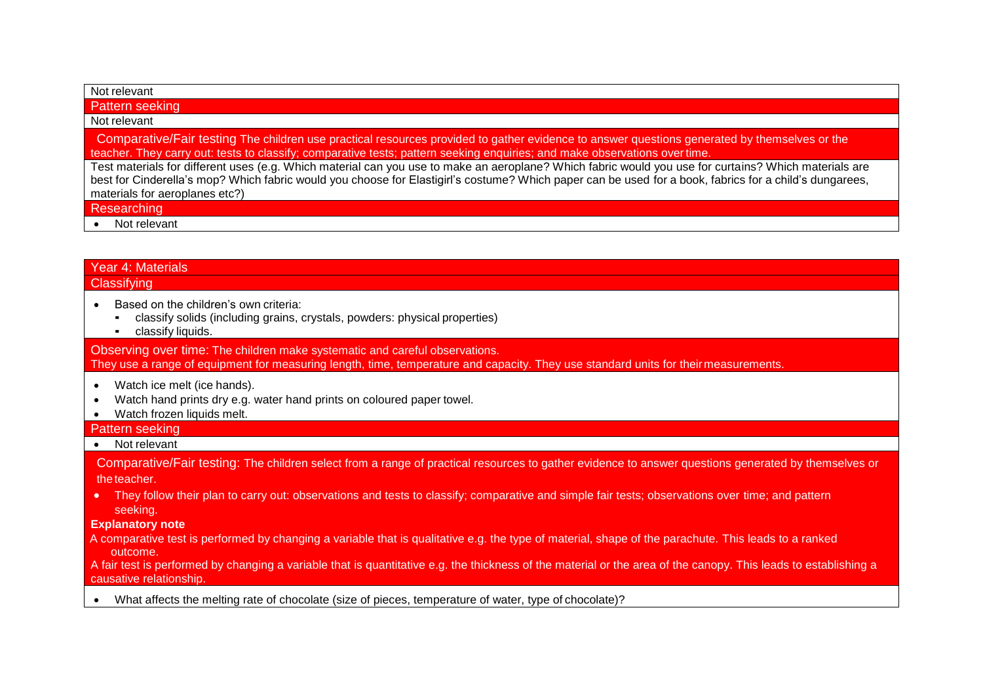| Not relevant                                                                                                                                                                                                                                                                                                                                       |
|----------------------------------------------------------------------------------------------------------------------------------------------------------------------------------------------------------------------------------------------------------------------------------------------------------------------------------------------------|
| Pattern seeking                                                                                                                                                                                                                                                                                                                                    |
| Not relevant                                                                                                                                                                                                                                                                                                                                       |
| Comparative/Fair testing The children use practical resources provided to gather evidence to answer questions generated by themselves or the<br>teacher. They carry out: tests to classify; comparative tests; pattern seeking enquiries; and make observations over time.                                                                         |
| Test materials for different uses (e.g. Which material can you use to make an aeroplane? Which fabric would you use for curtains? Which materials are<br>best for Cinderella's mop? Which fabric would you choose for Elastigirl's costume? Which paper can be used for a book, fabrics for a child's dungarees,<br>materials for aeroplanes etc?) |
| Researching                                                                                                                                                                                                                                                                                                                                        |
| Not relevant                                                                                                                                                                                                                                                                                                                                       |
|                                                                                                                                                                                                                                                                                                                                                    |
| <b>Year 4: Materials</b>                                                                                                                                                                                                                                                                                                                           |
| Classifying                                                                                                                                                                                                                                                                                                                                        |
| Based on the children's own criteria:                                                                                                                                                                                                                                                                                                              |

- classify solids (including grains, crystals, powders: physical properties)
- classify liquids.

Observing over time: The children make systematic and careful observations. They use a range of equipment for measuring length, time, temperature and capacity. They use standard units for their measurements.

- Watch ice melt (ice hands).
- Watch hand prints dry e.g. water hand prints on coloured paper towel.
- Watch frozen liquids melt.

#### Pattern seeking

#### • Not relevant

Comparative/Fair testing: The children select from a range of practical resources to gather evidence to answer questions generated by themselves or the teacher.

• They follow their plan to carry out: observations and tests to classify; comparative and simple fair tests; observations over time; and pattern seeking.

#### **Explanatory note**

A comparative test is performed by changing a variable that is qualitative e.g. the type of material, shape of the parachute. This leads to a ranked outcome.

A fair test is performed by changing a variable that is quantitative e.g. the thickness of the material or the area of the canopy. This leads to establishing a causative relationship.

• What affects the melting rate of chocolate (size of pieces, temperature of water, type of chocolate)?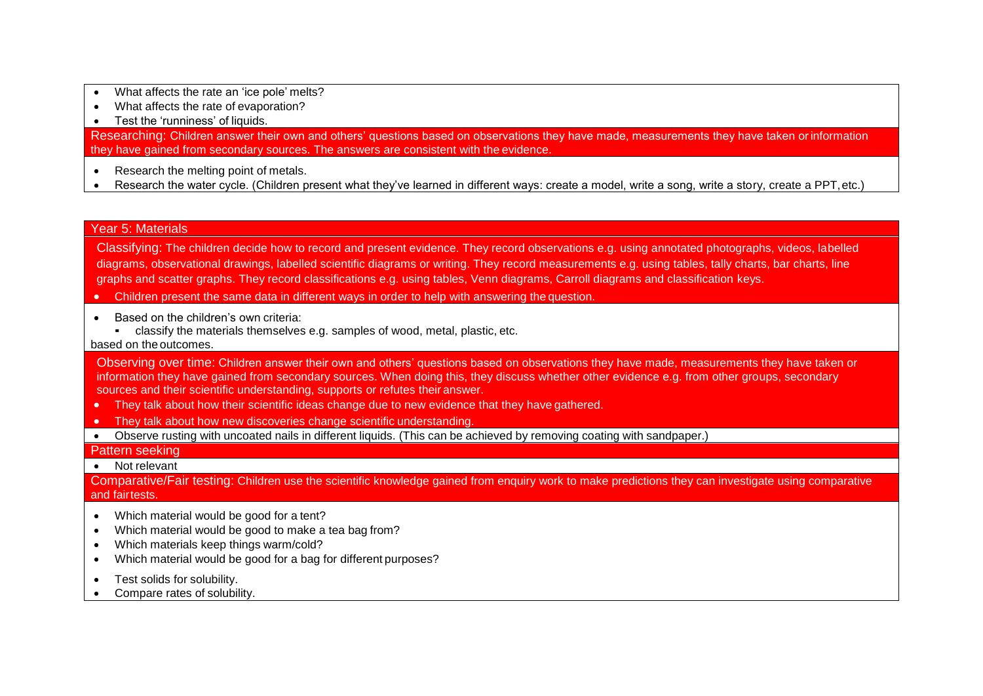- What affects the rate an 'ice pole' melts?
- What affects the rate of evaporation?
- Test the 'runniness' of liquids.

Researching: Children answer their own and others' questions based on observations they have made, measurements they have taken orinformation they have gained from secondary sources. The answers are consistent with the evidence.

- Research the melting point of metals.
- Research the water cycle. (Children present what they've learned in different ways: create a model, write a song, write a story, create a PPT, etc.)

#### Year 5: Materials

Classifying: The children decide how to record and present evidence. They record observations e.g. using annotated photographs, videos, labelled diagrams, observational drawings, labelled scientific diagrams or writing. They record measurements e.g. using tables, tally charts, bar charts, line graphs and scatter graphs. They record classifications e.g. using tables, Venn diagrams, Carroll diagrams and classification keys.

- Children present the same data in different ways in order to help with answering the question.
- Based on the children's own criteria:
	- classify the materials themselves e.g. samples of wood, metal, plastic, etc.

#### based on the outcomes.

Observing over time: Children answer their own and others' questions based on observations they have made, measurements they have taken or information they have gained from secondary sources. When doing this, they discuss whether other evidence e.g. from other groups, secondary sources and their scientific understanding, supports or refutes their answer.

- They talk about how their scientific ideas change due to new evidence that they have gathered.
- They talk about how new discoveries change scientific understanding.
- Observe rusting with uncoated nails in different liquids. (This can be achieved by removing coating with sandpaper.)

#### Pattern seeking

• Not relevant

Comparative/Fair testing: Children use the scientific knowledge gained from enquiry work to make predictions they can investigate using comparative and fairtests.

- Which material would be good for a tent?
- Which material would be good to make a tea bag from?
- Which materials keep things warm/cold?
- Which material would be good for a bag for different purposes?
- Test solids for solubility.
- Compare rates of solubility.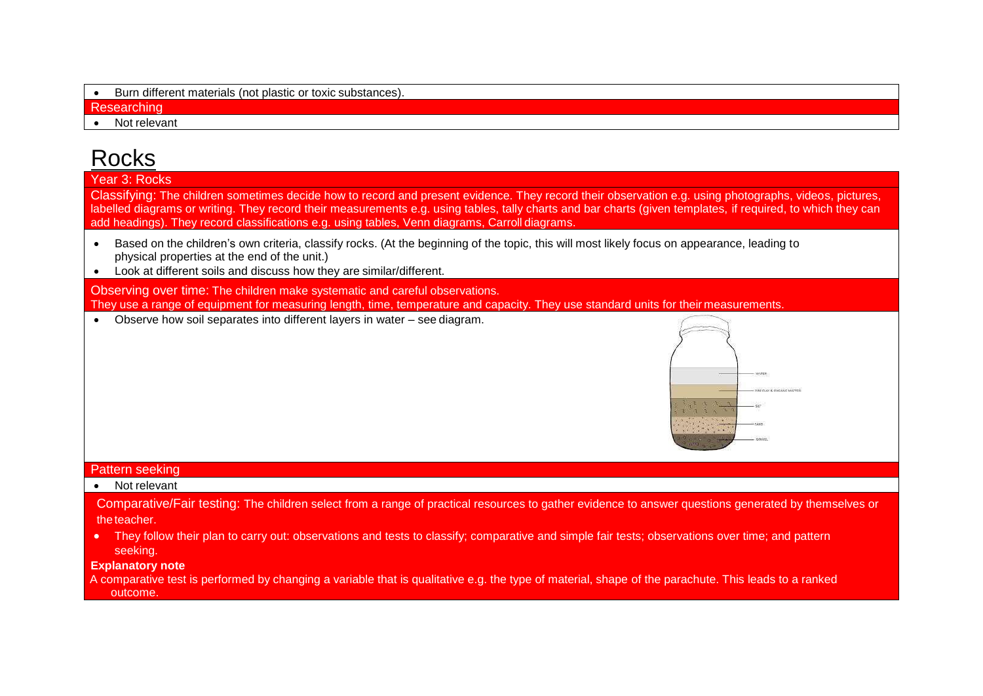|  |  | Burn different materials (not plastic or toxic substances). |  |
|--|--|-------------------------------------------------------------|--|
|--|--|-------------------------------------------------------------|--|

**Researching** 

Not relevant

# **Rocks**

Year 3: Rocks

Classifying: The children sometimes decide how to record and present evidence. They record their observation e.g. using photographs, videos, pictures, labelled diagrams or writing. They record their measurements e.g. using tables, tally charts and bar charts (given templates, if required, to which they can add headings). They record classifications e.g. using tables, Venn diagrams, Carroll diagrams.

- Based on the children's own criteria, classify rocks. (At the beginning of the topic, this will most likely focus on appearance, leading to physical properties at the end of the unit.)
- Look at different soils and discuss how they are similar/different.

Observing over time: The children make systematic and careful observations. They use a range of equipment for measuring length, time, temperature and capacity. They use standard units for their measurements

• Observe how soil separates into different layers in water – see diagram.



### Pattern seeking

#### • Not relevant

Comparative/Fair testing: The children select from a range of practical resources to gather evidence to answer questions generated by themselves or the teacher.

• They follow their plan to carry out: observations and tests to classify; comparative and simple fair tests; observations over time; and pattern seeking.

#### **Explanatory note**

A comparative test is performed by changing a variable that is qualitative e.g. the type of material, shape of the parachute. This leads to a ranked outcome.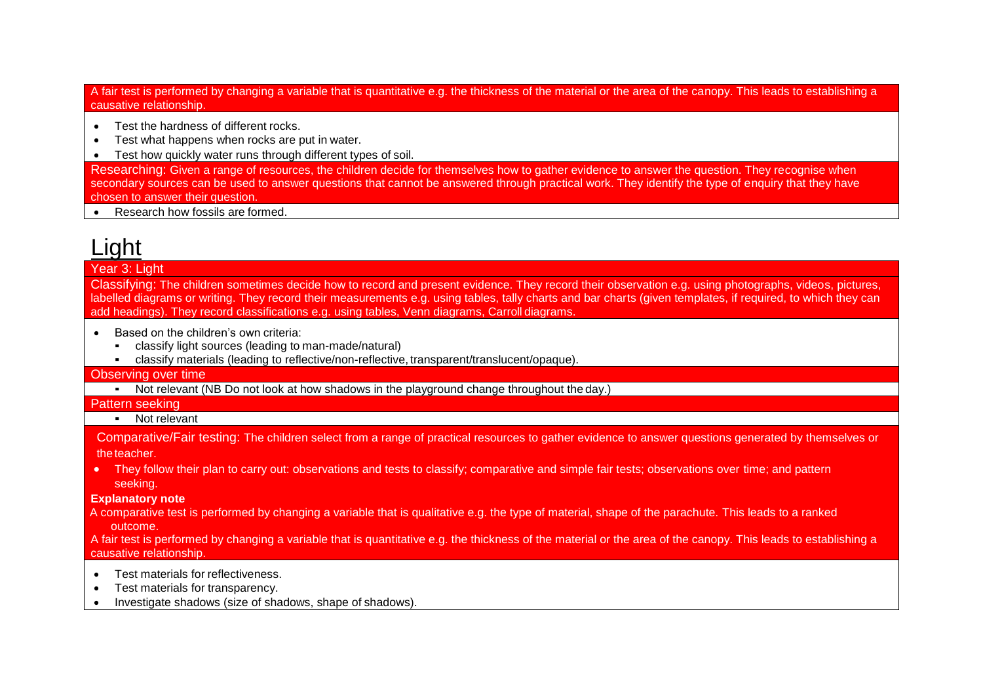A fair test is performed by changing a variable that is quantitative e.g. the thickness of the material or the area of the canopy. This leads to establishing a causative relationship.

- Test the hardness of different rocks.
- Test what happens when rocks are put in water.
- Test how quickly water runs through different types of soil.

Researching: Given a range of resources, the children decide for themselves how to gather evidence to answer the question. They recognise when secondary sources can be used to answer questions that cannot be answered through practical work. They identify the type of enquiry that they have chosen to answer their question.

• Research how fossils are formed.

# Light

### Year 3: Light

Classifying: The children sometimes decide how to record and present evidence. They record their observation e.g. using photographs, videos, pictures, labelled diagrams or writing. They record their measurements e.g. using tables, tally charts and bar charts (given templates, if required, to which they can add headings). They record classifications e.g. using tables, Venn diagrams, Carroll diagrams.

- Based on the children's own criteria:
	- classify light sources (leading to man-made/natural)
	- classify materials (leading to reflective/non-reflective, transparent/translucent/opaque).

#### Observing over time

▪ Not relevant (NB Do not look at how shadows in the playground change throughout the day.)

#### Pattern seeking

#### ■ Not relevant

Comparative/Fair testing: The children select from a range of practical resources to gather evidence to answer questions generated by themselves or the teacher.

• They follow their plan to carry out: observations and tests to classify; comparative and simple fair tests; observations over time; and pattern seeking.

#### **Explanatory note**

A comparative test is performed by changing a variable that is qualitative e.g. the type of material, shape of the parachute. This leads to a ranked outcome.

A fair test is performed by changing a variable that is quantitative e.g. the thickness of the material or the area of the canopy. This leads to establishing a causative relationship.

- Test materials for reflectiveness.
- Test materials for transparency.
- Investigate shadows (size of shadows, shape of shadows).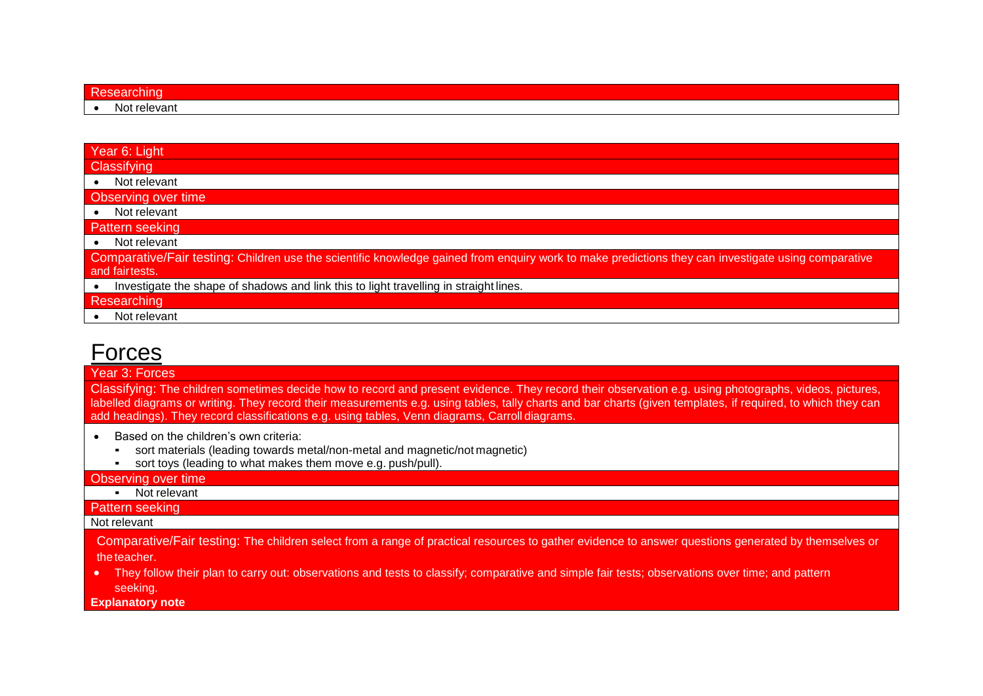| ш |             |  |  |
|---|-------------|--|--|
|   | Not relevan |  |  |

## Year 6: Light **Classifving** • Not relevant

Observing over time

• Not relevant

Pattern seeking

• Not relevant

Comparative/Fair testing: Children use the scientific knowledge gained from enquiry work to make predictions they can investigate using comparative and fairtests.

• Investigate the shape of shadows and link this to light travelling in straight lines.

**Researching** 

• Not relevant

# Forces

#### Year 3: Forces

Classifying: The children sometimes decide how to record and present evidence. They record their observation e.g. using photographs, videos, pictures, labelled diagrams or writing. They record their measurements e.g. using tables, tally charts and bar charts (given templates, if required, to which they can add headings). They record classifications e.g. using tables, Venn diagrams, Carroll diagrams.

- Based on the children's own criteria:
	- sort materials (leading towards metal/non-metal and magnetic/not magnetic)
	- sort toys (leading to what makes them move e.g. push/pull).

#### Observing over time

#### ▪ Not relevant

#### Pattern seeking

#### Not relevant

Comparative/Fair testing: The children select from a range of practical resources to gather evidence to answer questions generated by themselves or the teacher.

- They follow their plan to carry out: observations and tests to classify; comparative and simple fair tests; observations over time; and pattern seeking.
- **Explanatory note**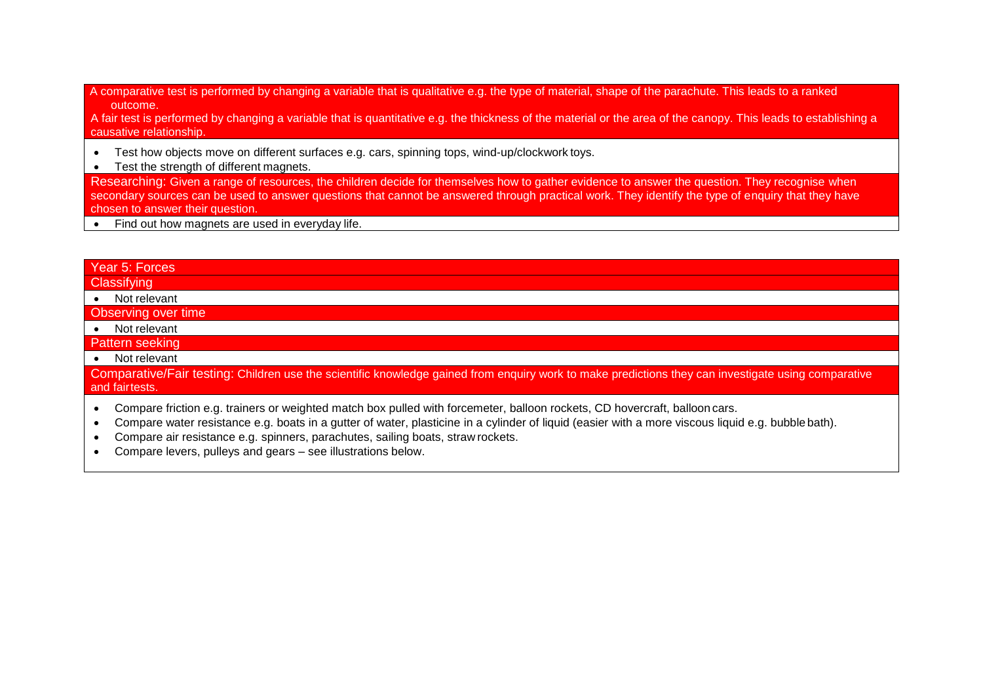A comparative test is performed by changing a variable that is qualitative e.g. the type of material, shape of the parachute. This leads to a ranked outcome.

A fair test is performed by changing a variable that is quantitative e.g. the thickness of the material or the area of the canopy. This leads to establishing a causative relationship.

- Test how objects move on different surfaces e.g. cars, spinning tops, wind-up/clockwork toys.
- Test the strength of different magnets.

Researching: Given a range of resources, the children decide for themselves how to gather evidence to answer the question. They recognise when secondary sources can be used to answer questions that cannot be answered through practical work. They identify the type of enquiry that they have chosen to answer their question.

• Find out how magnets are used in everyday life.

### Year 5: Forces

**Classifying** 

• Not relevant

#### Observing over time

- Not relevant
- Pattern seeking
- Not relevant

Comparative/Fair testing: Children use the scientific knowledge gained from enquiry work to make predictions they can investigate using comparative and fairtests.

- Compare friction e.g. trainers or weighted match box pulled with forcemeter, balloon rockets, CD hovercraft, balloon cars.
- Compare water resistance e.g. boats in a gutter of water, plasticine in a cylinder of liquid (easier with a more viscous liquid e.g. bubble bath).
- Compare air resistance e.g. spinners, parachutes, sailing boats, straw rockets.
- Compare levers, pulleys and gears see illustrations below.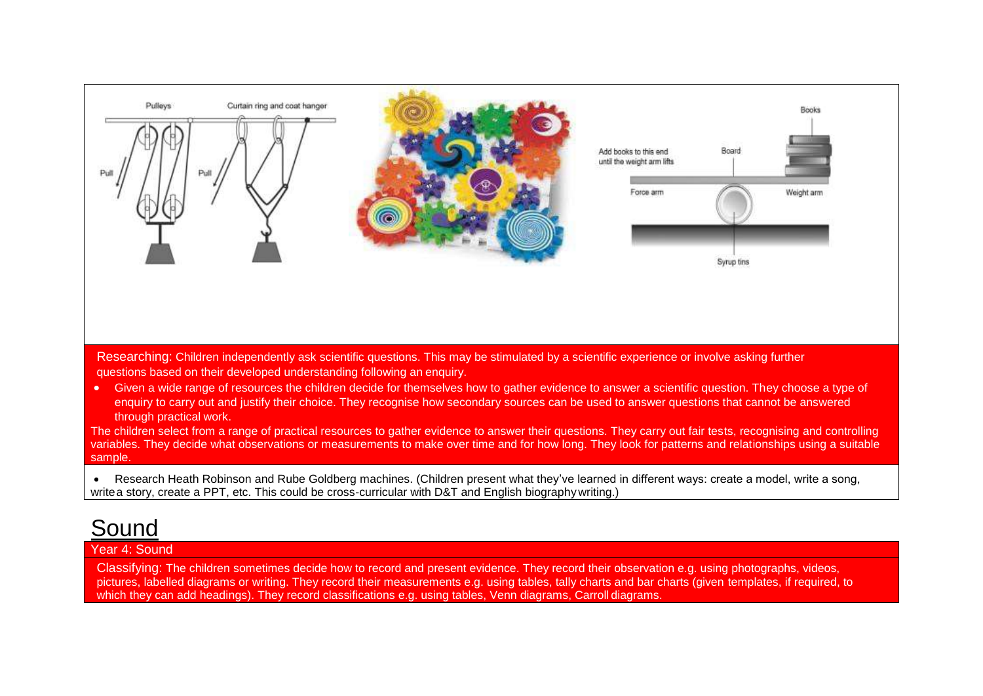

enquiry to carry out and justify their choice. They recognise how secondary sources can be used to answer questions that cannot be answered through practical work.

The children select from a range of practical resources to gather evidence to answer their questions. They carry out fair tests, recognising and controlling variables. They decide what observations or measurements to make over time and for how long. They look for patterns and relationships using a suitable sample.

• Research Heath Robinson and Rube Goldberg machines. (Children present what they've learned in different ways: create a model, write a song, writea story, create a PPT, etc. This could be cross-curricular with D&T and English biography writing.)

# Sound

### Year 4: Sound

Classifying: The children sometimes decide how to record and present evidence. They record their observation e.g. using photographs, videos, pictures, labelled diagrams or writing. They record their measurements e.g. using tables, tally charts and bar charts (given templates, if required, to which they can add headings). They record classifications e.g. using tables, Venn diagrams, Carroll diagrams.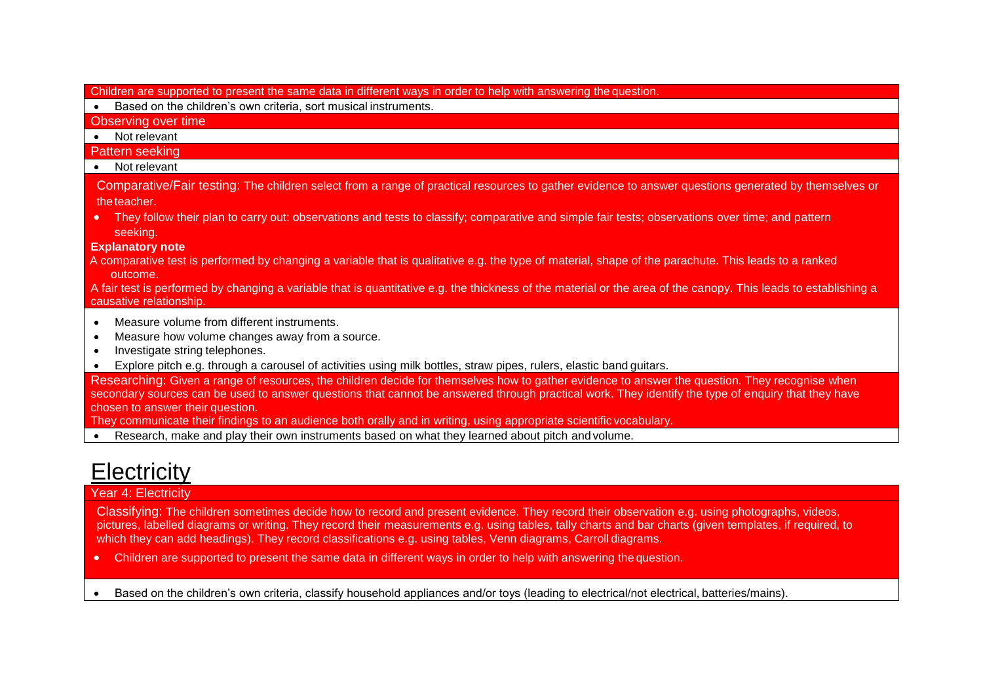Children are supported to present the same data in different ways in order to help with answering the question.

Based on the children's own criteria, sort musical instruments.

Observing over time

• Not relevant

Pattern seeking

• Not relevant

Comparative/Fair testing: The children select from a range of practical resources to gather evidence to answer questions generated by themselves or the teacher.

• They follow their plan to carry out: observations and tests to classify; comparative and simple fair tests; observations over time; and pattern seeking.

#### **Explanatory note**

A comparative test is performed by changing a variable that is qualitative e.g. the type of material, shape of the parachute. This leads to a ranked outcome.

A fair test is performed by changing a variable that is quantitative e.g. the thickness of the material or the area of the canopy. This leads to establishing a causative relationship.

- Measure volume from different instruments.
- Measure how volume changes away from a source.
- Investigate string telephones.
- Explore pitch e.g. through a carousel of activities using milk bottles, straw pipes, rulers, elastic band guitars.

Researching: Given a range of resources, the children decide for themselves how to gather evidence to answer the question. They recognise when secondary sources can be used to answer questions that cannot be answered through practical work. They identify the type of enquiry that they have chosen to answer their question.

They communicate their findings to an audience both orally and in writing, using appropriate scientific vocabulary.

• Research, make and play their own instruments based on what they learned about pitch and volume.

# **Electricity**

### Year 4: Electricity

Classifying: The children sometimes decide how to record and present evidence. They record their observation e.g. using photographs, videos, pictures, labelled diagrams or writing. They record their measurements e.g. using tables, tally charts and bar charts (given templates, if required, to which they can add headings). They record classifications e.g. using tables, Venn diagrams, Carroll diagrams.

• Children are supported to present the same data in different ways in order to help with answering the question.

• Based on the children's own criteria, classify household appliances and/or toys (leading to electrical/not electrical, batteries/mains).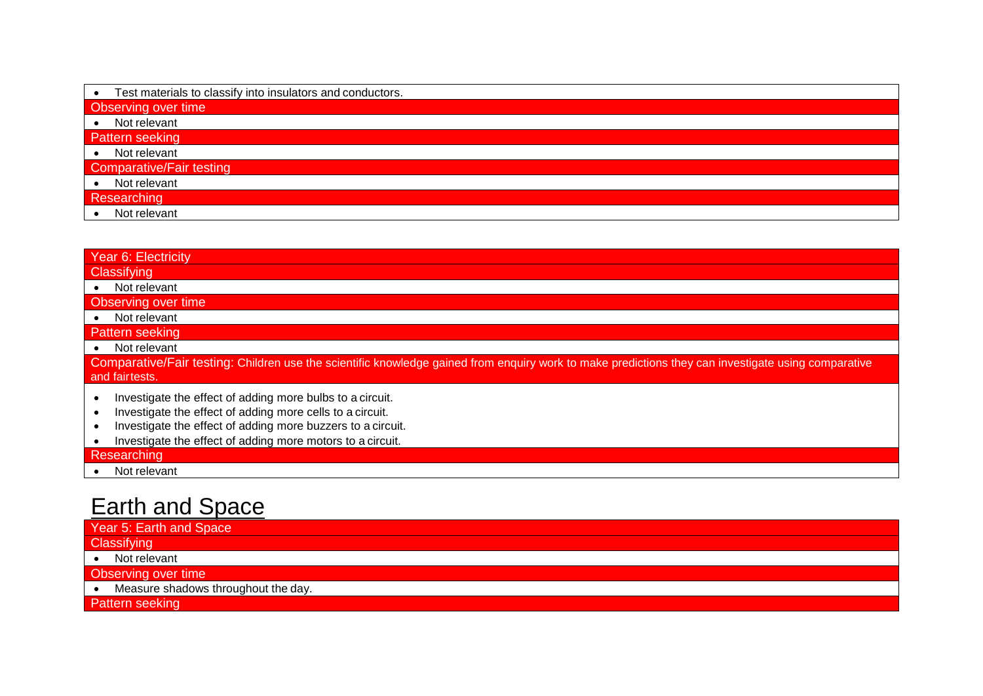| Test materials to classify into insulators and conductors.<br>$\bullet$ |  |  |
|-------------------------------------------------------------------------|--|--|
| <b>Observing over time</b>                                              |  |  |
| • Not relevant                                                          |  |  |
| Pattern seeking                                                         |  |  |
| • Not relevant                                                          |  |  |
| Comparative/Fair testing                                                |  |  |
| Not relevant                                                            |  |  |
| Researching                                                             |  |  |
| Not relevant                                                            |  |  |

| Year 6: Electricity                                                                                                                                 |  |  |
|-----------------------------------------------------------------------------------------------------------------------------------------------------|--|--|
| Classifying                                                                                                                                         |  |  |
| Not relevant                                                                                                                                        |  |  |
| Observing over time                                                                                                                                 |  |  |
| Not relevant                                                                                                                                        |  |  |
| Pattern seeking                                                                                                                                     |  |  |
| Not relevant                                                                                                                                        |  |  |
| Comparative/Fair testing: Children use the scientific knowledge gained from enquiry work to make predictions they can investigate using comparative |  |  |
| and fairtests.                                                                                                                                      |  |  |
| Investigate the effect of adding more bulbs to a circuit.                                                                                           |  |  |
| Investigate the effect of adding more cells to a circuit.                                                                                           |  |  |
| Investigate the effect of adding more buzzers to a circuit.                                                                                         |  |  |
| Investigate the effect of adding more motors to a circuit.                                                                                          |  |  |
| Researching                                                                                                                                         |  |  |
| Not relevent<br>$\bullet$                                                                                                                           |  |  |

• Not relevant

# Earth and Space

| Year 5: Earth and Space             |  |
|-------------------------------------|--|
| Classifying                         |  |
| Not relevant                        |  |
| Observing over time                 |  |
| Measure shadows throughout the day. |  |
| Pattern seeking                     |  |